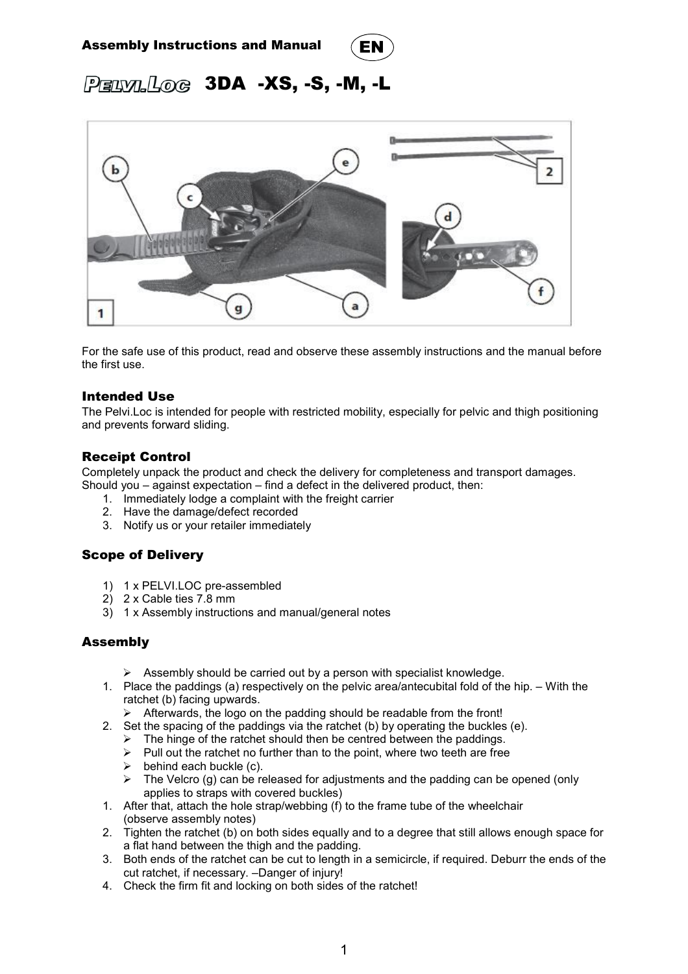



PELYL. LOG 3DA -XS, -S, -M, -L



For the safe use of this product, read and observe these assembly instructions and the manual before the first use.

#### Intended Use

The Pelvi.Loc is intended for people with restricted mobility, especially for pelvic and thigh positioning and prevents forward sliding.

### Receipt Control

Completely unpack the product and check the delivery for completeness and transport damages. Should you – against expectation – find a defect in the delivered product, then:

- 1. Immediately lodge a complaint with the freight carrier
- 2. Have the damage/defect recorded
- 3. Notify us or your retailer immediately

# Scope of Delivery

- 1) 1 x PELVI.LOC pre-assembled
- 2) 2 x Cable ties 7.8 mm
- 3) 1 x Assembly instructions and manual/general notes

# Assembly

- $\triangleright$  Assembly should be carried out by a person with specialist knowledge.
- 1. Place the paddings (a) respectively on the pelvic area/antecubital fold of the hip. With the ratchet (b) facing upwards.
	- $\triangleright$  Afterwards, the logo on the padding should be readable from the front!
- 2. Set the spacing of the paddings via the ratchet (b) by operating the buckles (e).
	- $\triangleright$  The hinge of the ratchet should then be centred between the paddings.
	- $\triangleright$  Pull out the ratchet no further than to the point, where two teeth are free
	- behind each buckle (c).
	- $\triangleright$  The Velcro (g) can be released for adjustments and the padding can be opened (only applies to straps with covered buckles)
- 1. After that, attach the hole strap/webbing (f) to the frame tube of the wheelchair (observe assembly notes)
- 2. Tighten the ratchet (b) on both sides equally and to a degree that still allows enough space for a flat hand between the thigh and the padding.
- 3. Both ends of the ratchet can be cut to length in a semicircle, if required. Deburr the ends of the cut ratchet, if necessary. –Danger of injury!
- 4. Check the firm fit and locking on both sides of the ratchet!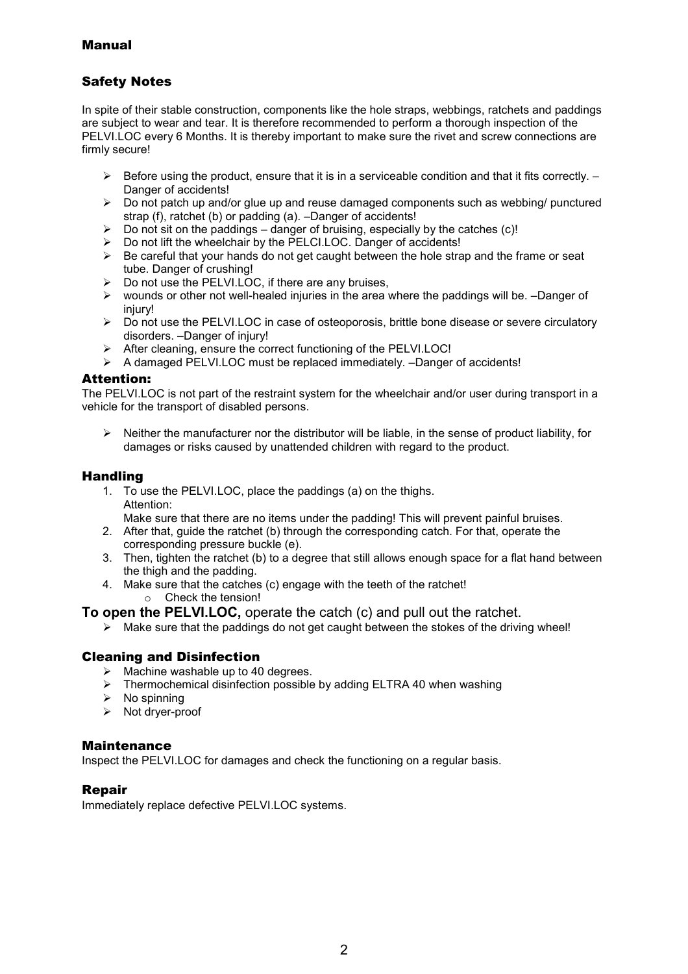### Manual

# Safety Notes

In spite of their stable construction, components like the hole straps, webbings, ratchets and paddings are subject to wear and tear. It is therefore recommended to perform a thorough inspection of the PELVI.LOC every 6 Months. It is thereby important to make sure the rivet and screw connections are firmly secure!

- $\triangleright$  Before using the product, ensure that it is in a serviceable condition and that it fits correctly.  $-$ Danger of accidents!
- $\geq$  Do not patch up and/or glue up and reuse damaged components such as webbing/ punctured strap (f), ratchet (b) or padding (a). –Danger of accidents!
- $\triangleright$  Do not sit on the paddings danger of bruising, especially by the catches (c)!
- Do not lift the wheelchair by the PELCI.LOC. Danger of accidents!
- $\triangleright$  Be careful that your hands do not get caught between the hole strap and the frame or seat tube. Danger of crushing!
- $\triangleright$  Do not use the PELVI.LOC, if there are any bruises,
- $\triangleright$  wounds or other not well-healed injuries in the area where the paddings will be. -Danger of injury!
- $\triangleright$  Do not use the PELVI.LOC in case of osteoporosis, brittle bone disease or severe circulatory disorders. –Danger of injury!
- $\triangleright$  After cleaning, ensure the correct functioning of the PELVI.LOC!
- > A damaged PELVI.LOC must be replaced immediately. -Danger of accidents!

#### Attention:

The PELVI.LOC is not part of the restraint system for the wheelchair and/or user during transport in a vehicle for the transport of disabled persons.

 $\triangleright$  Neither the manufacturer nor the distributor will be liable, in the sense of product liability, for damages or risks caused by unattended children with regard to the product.

### **Handling**

- 1. To use the PELVI.LOC, place the paddings (a) on the thighs. Attention:
	- Make sure that there are no items under the padding! This will prevent painful bruises.
- 2. After that, guide the ratchet (b) through the corresponding catch. For that, operate the corresponding pressure buckle (e).
- 3. Then, tighten the ratchet (b) to a degree that still allows enough space for a flat hand between the thigh and the padding.
- 4. Make sure that the catches (c) engage with the teeth of the ratchet! o Check the tension!

**To open the PELVI.LOC,** operate the catch (c) and pull out the ratchet.

 $\triangleright$  Make sure that the paddings do not get caught between the stokes of the driving wheel!

### Cleaning and Disinfection

- $\triangleright$  Machine washable up to 40 degrees.
- $\triangleright$  Thermochemical disinfection possible by adding ELTRA 40 when washing
- $\triangleright$  No spinning
- $\triangleright$  Not dryer-proof

#### Maintenance

Inspect the PELVI.LOC for damages and check the functioning on a regular basis.

### Repair

Immediately replace defective PELVI.LOC systems.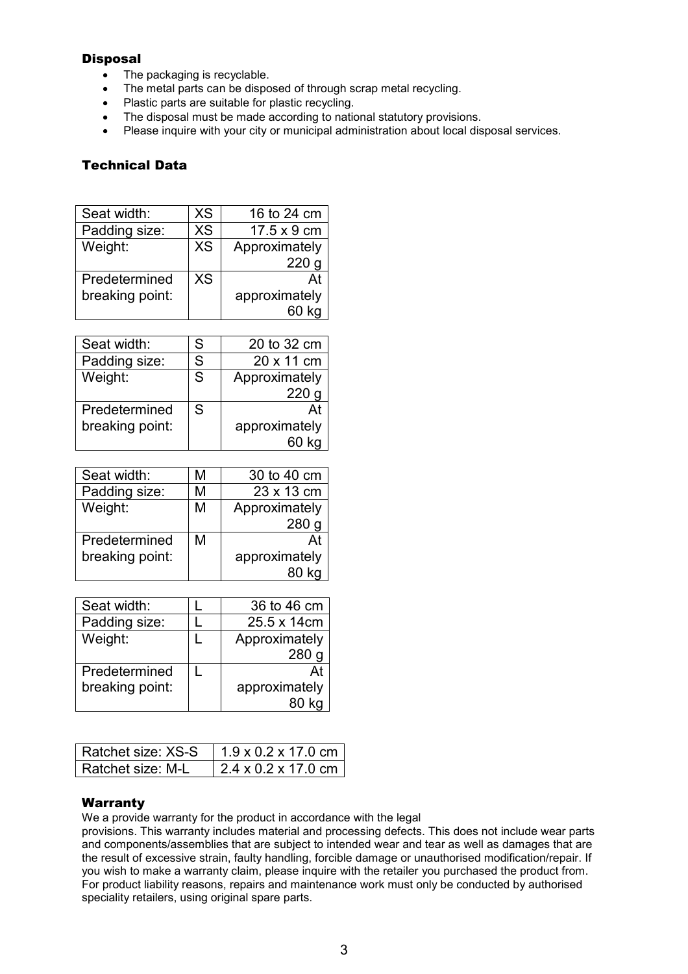# **Disposal**

- The packaging is recyclable.
- The metal parts can be disposed of through scrap metal recycling.
- Plastic parts are suitable for plastic recycling.
- The disposal must be made according to national statutory provisions.
- Please inquire with your city or municipal administration about local disposal services.

## Technical Data

| Seat width:     | <b>XS</b> | 16 to 24 cm        |  |
|-----------------|-----------|--------------------|--|
| Padding size:   | <b>XS</b> | $17.5 \times 9$ cm |  |
| Weight:         | <b>XS</b> | Approximately      |  |
|                 |           | 22C                |  |
| Predetermined   | <b>XS</b> | At                 |  |
| breaking point: |           | approximately      |  |
|                 |           |                    |  |

| Seat width:     | S | 20 to 32 cm   |  |
|-----------------|---|---------------|--|
| Padding size:   | S | 20 x 11 cm    |  |
| Weight:         | S | Approximately |  |
|                 |   | 220           |  |
| Predetermined   | S |               |  |
| breaking point: |   | approximately |  |
|                 |   |               |  |

| Seat width:     | м | 30 to 40 cm   |  |
|-----------------|---|---------------|--|
| Padding size:   | М | 23 x 13 cm    |  |
| Weight:         | М | Approximately |  |
|                 |   | 280           |  |
| Predetermined   | М | At            |  |
| breaking point: |   | approximately |  |
|                 |   |               |  |

| Seat width:     | 36 to 46 cm   |  |
|-----------------|---------------|--|
| Padding size:   | 25.5 x 14cm   |  |
| Weight:         | Approximately |  |
|                 | 280           |  |
| Predetermined   | At            |  |
| breaking point: | approximately |  |
|                 |               |  |

| Ratchet size: XS-S | $1.9 \times 0.2 \times 17.0$ cm |
|--------------------|---------------------------------|
| Ratchet size: M-L  | $2.4 \times 0.2 \times 17.0$ cm |

# Warranty

We a provide warranty for the product in accordance with the legal

provisions. This warranty includes material and processing defects. This does not include wear parts and components/assemblies that are subject to intended wear and tear as well as damages that are the result of excessive strain, faulty handling, forcible damage or unauthorised modification/repair. If you wish to make a warranty claim, please inquire with the retailer you purchased the product from. For product liability reasons, repairs and maintenance work must only be conducted by authorised speciality retailers, using original spare parts.